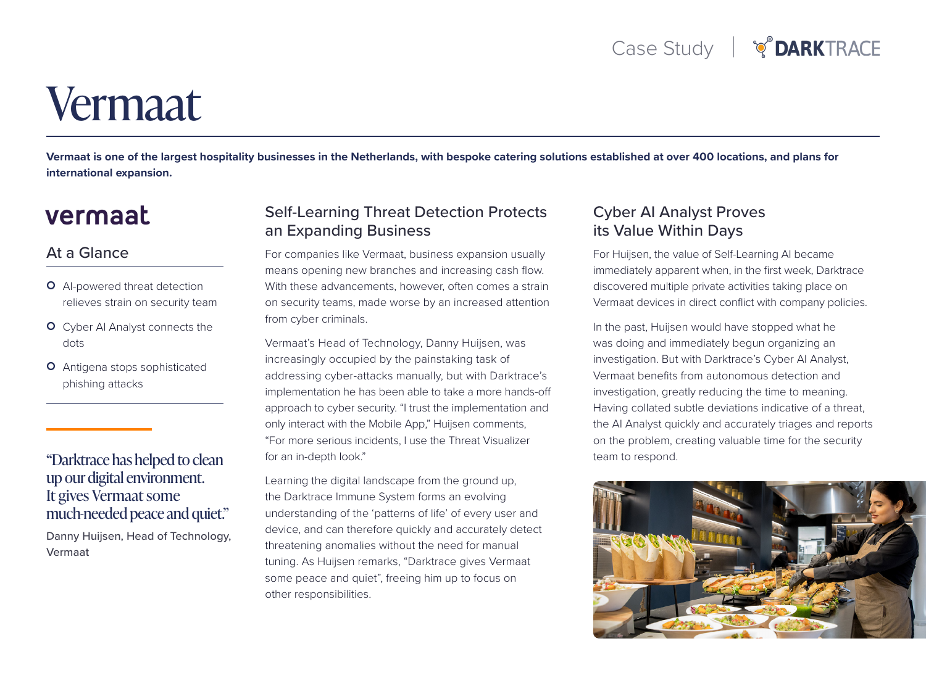# Vermaat

Vermaat is one of the largest hospitality businesses in the Netherlands, with bespoke catering solutions established at over 400 locations, and plans for **international expansion.** 

# vermaat

#### At a Glance

- O Al-powered threat detection relieves strain on security team
- **O** Cyber AI Analyst connects the dots
- O Antigena stops sophisticated phishing attacks

## "Darktrace has helped to clean up our digital environment. It gives Vermaat some much-needed peace and quiet."

Danny Huijsen, Head of Technology, Vermaat

#### **Self-Learning Threat Detection Protects** an Expanding Business

For companies like Vermaat, business expansion usually means opening new branches and increasing cash flow. With these advancements, however, often comes a strain on security teams, made worse by an increased attention from cyber criminals.

Vermaat's Head of Technology, Danny Huijsen, was increasingly occupied by the painstaking task of addressing cyber-attacks manually, but with Darktrace's implementation he has been able to take a more hands-off approach to cyber security. "I trust the implementation and only interact with the Mobile App," Huijsen comments, "For more serious incidents. I use the Threat Visualizer for an in-depth look."

Learning the digital landscape from the ground up, the Darktrace Immune System forms an evolving understanding of the 'patterns of life' of every user and device, and can therefore quickly and accurately detect threatening anomalies without the need for manual tuning. As Huijsen remarks, "Darktrace gives Vermaat some peace and quiet", freeing him up to focus on other responsibilities.

#### **Cyber AI Analyst Proves** its Value Within Days

For Huijsen, the value of Self-Learning AI became immediately apparent when, in the first week, Darktrace discovered multiple private activities taking place on Vermaat devices in direct conflict with company policies.

In the past, Huijsen would have stopped what he was doing and immediately begun organizing an investigation. But with Darktrace's Cyber AI Analyst, Vermaat benefits from autonomous detection and investigation, greatly reducing the time to meaning. Having collated subtle deviations indicative of a threat, the AI Analyst quickly and accurately triages and reports on the problem, creating valuable time for the security team to respond.